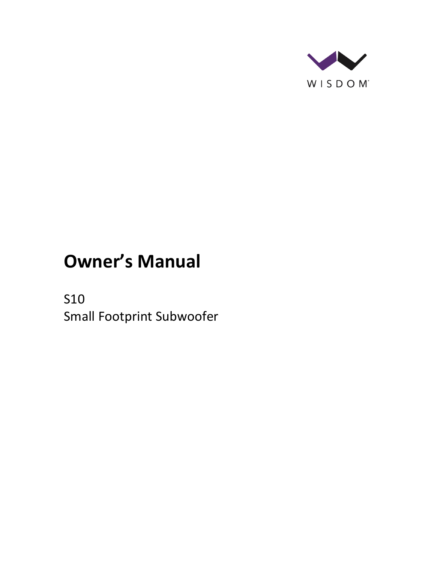

# **Owner's Manual**

S10 Small Footprint Subwoofer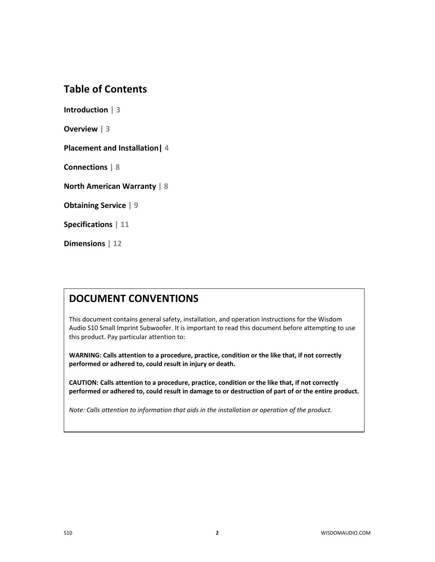### **Table of Contents**

**Introduction | 3**

**Overview | 3**

**Placement and Installation| 4**

**Connections | 8**

**North American Warranty | 8**

**Obtaining Service | 9**

**Specifications | 11**

**Dimensions | 12**

#### **DOCUMENT CONVENTIONS**

This document contains general safety, installation, and operation instructions for the Wisdom Audio S10 Small Imprint Subwoofer. It is important to read this document before attempting to use this product. Pay particular attention to:

**WARNING: Calls attention to a procedure, practice, condition or the like that, if not correctly performed or adhered to, could result in injury or death.** 

**CAUTION: Calls attention to a procedure, practice, condition or the like that, if not correctly performed or adhered to, could result in damage to or destruction of part of or the entire product.** 

*Note: Calls attention to information that aids in the installation or operation of the product.*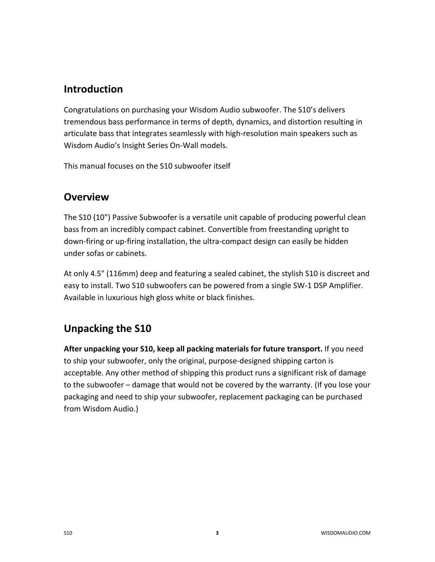### **Introduction**

Congratulations on purchasing your Wisdom Audio subwoofer. The S10's delivers tremendous bass performance in terms of depth, dynamics, and distortion resulting in articulate bass that integrates seamlessly with high-resolution main speakers such as Wisdom Audio's Insight Series On-Wall models.

This manual focuses on the S10 subwoofer itself

### **Overview**

The S10 (10") Passive Subwoofer is a versatile unit capable of producing powerful clean bass from an incredibly compact cabinet. Convertible from freestanding upright to down-firing or up-firing installation, the ultra-compact design can easily be hidden under sofas or cabinets.

At only 4.5" (116mm) deep and featuring a sealed cabinet, the stylish S10 is discreet and easy to install. Two S10 subwoofers can be powered from a single SW-1 DSP Amplifier. Available in luxurious high gloss white or black finishes.

# **Unpacking the S10**

**After unpacking your S10, keep all packing materials for future transport.** If you need to ship your subwoofer, only the original, purpose-designed shipping carton is acceptable. Any other method of shipping this product runs a significant risk of damage to the subwoofer – damage that would not be covered by the warranty. (If you lose your packaging and need to ship your subwoofer, replacement packaging can be purchased from Wisdom Audio.)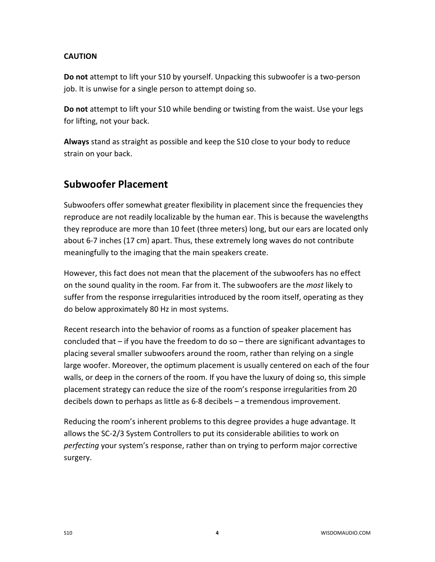#### **CAUTION**

**Do not** attempt to lift your S10 by yourself. Unpacking this subwoofer is a two-person job. It is unwise for a single person to attempt doing so.

**Do not** attempt to lift your S10 while bending or twisting from the waist. Use your legs for lifting, not your back.

**Always** stand as straight as possible and keep the S10 close to your body to reduce strain on your back.

## **Subwoofer Placement**

Subwoofers offer somewhat greater flexibility in placement since the frequencies they reproduce are not readily localizable by the human ear. This is because the wavelengths they reproduce are more than 10 feet (three meters) long, but our ears are located only about 6-7 inches (17 cm) apart. Thus, these extremely long waves do not contribute meaningfully to the imaging that the main speakers create.

However, this fact does not mean that the placement of the subwoofers has no effect on the sound quality in the room. Far from it. The subwoofers are the *most* likely to suffer from the response irregularities introduced by the room itself, operating as they do below approximately 80 Hz in most systems.

Recent research into the behavior of rooms as a function of speaker placement has concluded that – if you have the freedom to do so – there are significant advantages to placing several smaller subwoofers around the room, rather than relying on a single large woofer. Moreover, the optimum placement is usually centered on each of the four walls, or deep in the corners of the room. If you have the luxury of doing so, this simple placement strategy can reduce the size of the room's response irregularities from 20 decibels down to perhaps as little as 6-8 decibels – a tremendous improvement.

Reducing the room's inherent problems to this degree provides a huge advantage. It allows the SC-2/3 System Controllers to put its considerable abilities to work on *perfecting* your system's response, rather than on trying to perform major corrective surgery.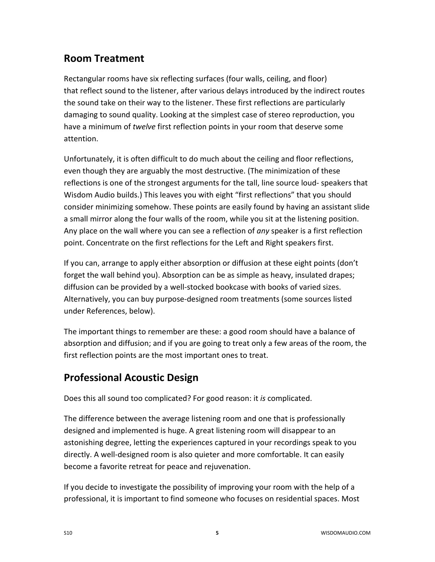# **Room Treatment**

Rectangular rooms have six reflecting surfaces (four walls, ceiling, and floor) that reflect sound to the listener, after various delays introduced by the indirect routes the sound take on their way to the listener. These first reflections are particularly damaging to sound quality. Looking at the simplest case of stereo reproduction, you have a minimum of *twelve* first reflection points in your room that deserve some attention.

Unfortunately, it is often difficult to do much about the ceiling and floor reflections, even though they are arguably the most destructive. (The minimization of these reflections is one of the strongest arguments for the tall, line source loud- speakers that Wisdom Audio builds.) This leaves you with eight "first reflections" that you should consider minimizing somehow. These points are easily found by having an assistant slide a small mirror along the four walls of the room, while you sit at the listening position. Any place on the wall where you can see a reflection of *any* speaker is a first reflection point. Concentrate on the first reflections for the Left and Right speakers first.

If you can, arrange to apply either absorption or diffusion at these eight points (don't forget the wall behind you). Absorption can be as simple as heavy, insulated drapes; diffusion can be provided by a well-stocked bookcase with books of varied sizes. Alternatively, you can buy purpose-designed room treatments (some sources listed under References, below).

The important things to remember are these: a good room should have a balance of absorption and diffusion; and if you are going to treat only a few areas of the room, the first reflection points are the most important ones to treat.

# **Professional Acoustic Design**

Does this all sound too complicated? For good reason: it *is* complicated.

The difference between the average listening room and one that is professionally designed and implemented is huge. A great listening room will disappear to an astonishing degree, letting the experiences captured in your recordings speak to you directly. A well-designed room is also quieter and more comfortable. It can easily become a favorite retreat for peace and rejuvenation.

If you decide to investigate the possibility of improving your room with the help of a professional, it is important to find someone who focuses on residential spaces. Most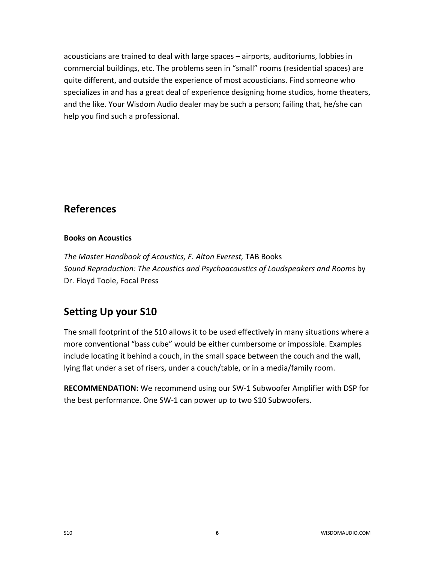acousticians are trained to deal with large spaces – airports, auditoriums, lobbies in commercial buildings, etc. The problems seen in "small" rooms (residential spaces) are quite different, and outside the experience of most acousticians. Find someone who specializes in and has a great deal of experience designing home studios, home theaters, and the like. Your Wisdom Audio dealer may be such a person; failing that, he/she can help you find such a professional.

#### **References**

#### **Books on Acoustics**

*The Master Handbook of Acoustics, F. Alton Everest,* TAB Books *Sound Reproduction: The Acoustics and Psychoacoustics of Loudspeakers and Rooms* by Dr. Floyd Toole, Focal Press

# **Setting Up your S10**

The small footprint of the S10 allows it to be used effectively in many situations where a more conventional "bass cube" would be either cumbersome or impossible. Examples include locating it behind a couch, in the small space between the couch and the wall, lying flat under a set of risers, under a couch/table, or in a media/family room.

**RECOMMENDATION:** We recommend using our SW-1 Subwoofer Amplifier with DSP for the best performance. One SW-1 can power up to two S10 Subwoofers.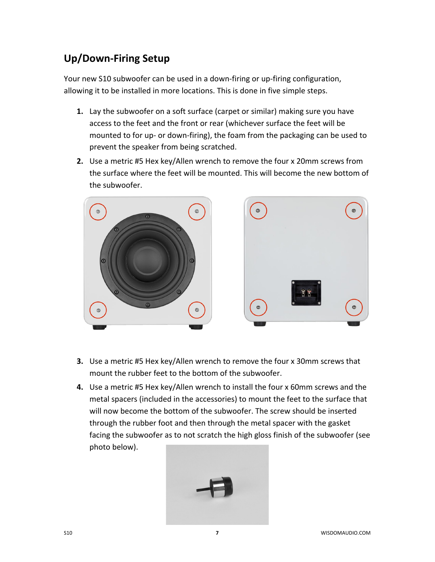# **Up/Down-Firing Setup**

Your new S10 subwoofer can be used in a down-firing or up-firing configuration, allowing it to be installed in more locations. This is done in five simple steps.

- **1.** Lay the subwoofer on a soft surface (carpet or similar) making sure you have access to the feet and the front or rear (whichever surface the feet will be mounted to for up- or down-firing), the foam from the packaging can be used to prevent the speaker from being scratched.
- **2.** Use a metric #5 Hex key/Allen wrench to remove the four x 20mm screws from the surface where the feet will be mounted. This will become the new bottom of the subwoofer.



- **3.** Use a metric #5 Hex key/Allen wrench to remove the four x 30mm screws that mount the rubber feet to the bottom of the subwoofer.
- **4.** Use a metric #5 Hex key/Allen wrench to install the four x 60mm screws and the metal spacers (included in the accessories) to mount the feet to the surface that will now become the bottom of the subwoofer. The screw should be inserted through the rubber foot and then through the metal spacer with the gasket facing the subwoofer as to not scratch the high gloss finish of the subwoofer (see photo below).

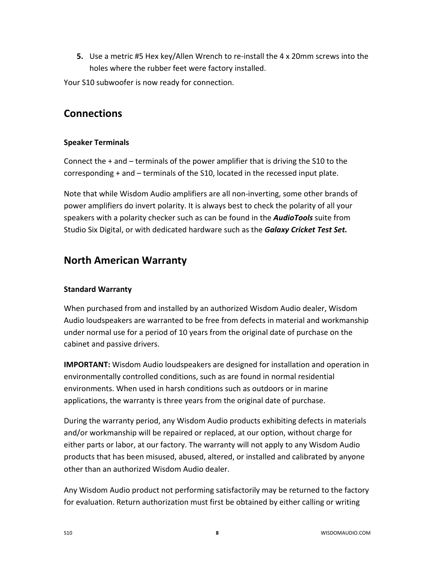**5.** Use a metric #5 Hex key/Allen Wrench to re-install the 4 x 20mm screws into the holes where the rubber feet were factory installed.

Your S10 subwoofer is now ready for connection.

# **Connections**

#### **Speaker Terminals**

Connect the + and – terminals of the power amplifier that is driving the S10 to the corresponding + and – terminals of the S10, located in the recessed input plate.

Note that while Wisdom Audio amplifiers are all non-inverting, some other brands of power amplifiers do invert polarity. It is always best to check the polarity of all your speakers with a polarity checker such as can be found in the *AudioTools* suite from Studio Six Digital, or with dedicated hardware such as the *Galaxy Cricket Test Set.*

### **North American Warranty**

#### **Standard Warranty**

When purchased from and installed by an authorized Wisdom Audio dealer, Wisdom Audio loudspeakers are warranted to be free from defects in material and workmanship under normal use for a period of 10 years from the original date of purchase on the cabinet and passive drivers.

**IMPORTANT:** Wisdom Audio loudspeakers are designed for installation and operation in environmentally controlled conditions, such as are found in normal residential environments. When used in harsh conditions such as outdoors or in marine applications, the warranty is three years from the original date of purchase.

During the warranty period, any Wisdom Audio products exhibiting defects in materials and/or workmanship will be repaired or replaced, at our option, without charge for either parts or labor, at our factory. The warranty will not apply to any Wisdom Audio products that has been misused, abused, altered, or installed and calibrated by anyone other than an authorized Wisdom Audio dealer.

Any Wisdom Audio product not performing satisfactorily may be returned to the factory for evaluation. Return authorization must first be obtained by either calling or writing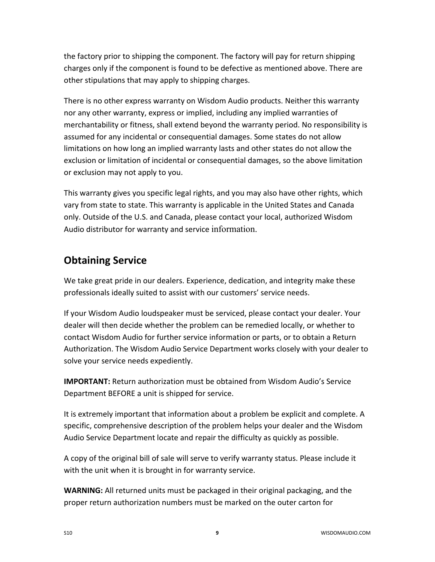the factory prior to shipping the component. The factory will pay for return shipping charges only if the component is found to be defective as mentioned above. There are other stipulations that may apply to shipping charges.

There is no other express warranty on Wisdom Audio products. Neither this warranty nor any other warranty, express or implied, including any implied warranties of merchantability or fitness, shall extend beyond the warranty period. No responsibility is assumed for any incidental or consequential damages. Some states do not allow limitations on how long an implied warranty lasts and other states do not allow the exclusion or limitation of incidental or consequential damages, so the above limitation or exclusion may not apply to you.

This warranty gives you specific legal rights, and you may also have other rights, which vary from state to state. This warranty is applicable in the United States and Canada only. Outside of the U.S. and Canada, please contact your local, authorized Wisdom Audio distributor for warranty and service information.

## **Obtaining Service**

We take great pride in our dealers. Experience, dedication, and integrity make these professionals ideally suited to assist with our customers' service needs.

If your Wisdom Audio loudspeaker must be serviced, please contact your dealer. Your dealer will then decide whether the problem can be remedied locally, or whether to contact Wisdom Audio for further service information or parts, or to obtain a Return Authorization. The Wisdom Audio Service Department works closely with your dealer to solve your service needs expediently.

**IMPORTANT:** Return authorization must be obtained from Wisdom Audio's Service Department BEFORE a unit is shipped for service.

It is extremely important that information about a problem be explicit and complete. A specific, comprehensive description of the problem helps your dealer and the Wisdom Audio Service Department locate and repair the difficulty as quickly as possible.

A copy of the original bill of sale will serve to verify warranty status. Please include it with the unit when it is brought in for warranty service.

**WARNING:** All returned units must be packaged in their original packaging, and the proper return authorization numbers must be marked on the outer carton for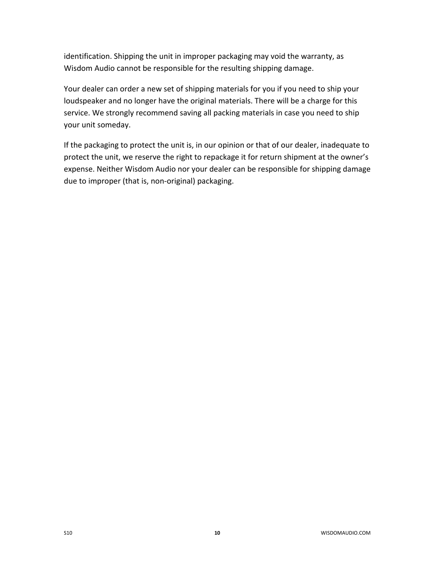identification. Shipping the unit in improper packaging may void the warranty, as Wisdom Audio cannot be responsible for the resulting shipping damage.

Your dealer can order a new set of shipping materials for you if you need to ship your loudspeaker and no longer have the original materials. There will be a charge for this service. We strongly recommend saving all packing materials in case you need to ship your unit someday.

If the packaging to protect the unit is, in our opinion or that of our dealer, inadequate to protect the unit, we reserve the right to repackage it for return shipment at the owner's expense. Neither Wisdom Audio nor your dealer can be responsible for shipping damage due to improper (that is, non-original) packaging.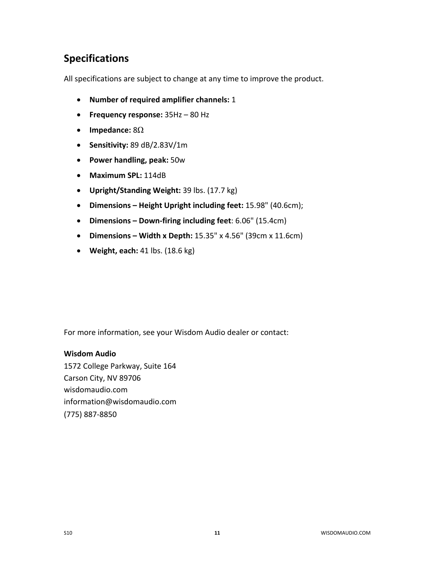# **Specifications**

All specifications are subject to change at any time to improve the product.

- **Number of required amplifier channels:** 1
- **Frequency response:** 35Hz 80 Hz
- **Impedance:** 8Ω
- **Sensitivity:** 89 dB/2.83V/1m
- **Power handling, peak:** 50w
- **Maximum SPL:** 114dB
- **Upright/Standing Weight:** 39 lbs. (17.7 kg)
- **Dimensions – Height Upright including feet:** 15.98" (40.6cm);
- **Dimensions – Down-firing including feet**: 6.06" (15.4cm)
- **Dimensions – Width x Depth:** 15.35" x 4.56" (39cm x 11.6cm)
- **Weight, each:** 41 lbs. (18.6 kg)

For more information, see your Wisdom Audio dealer or contact:

#### **Wisdom Audio**

1572 College Parkway, Suite 164 Carson City, NV 89706 wisdomaudio.com information@wisdomaudio.com (775) 887-8850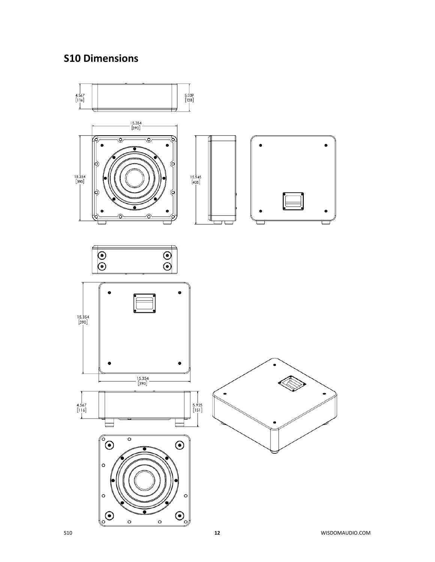# **S10 Dimensions**